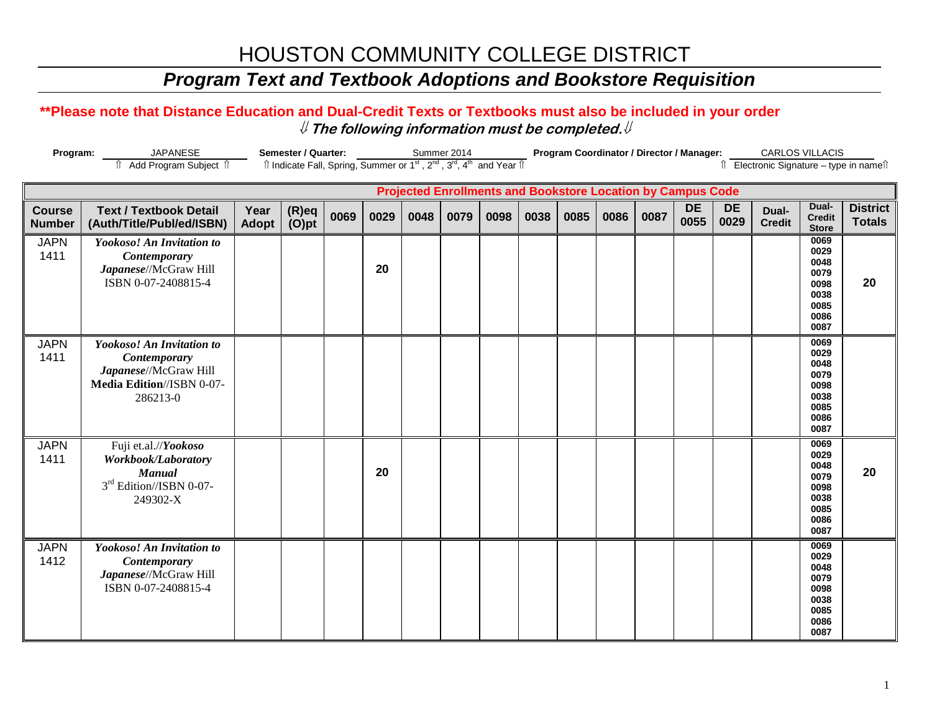# HOUSTON COMMUNITY COLLEGE DISTRICT

## *Program Text and Textbook Adoptions and Bookstore Requisition*

### **\*\*Please note that Distance Education and Dual-Credit Texts or Textbooks must also be included in your order** ⇓ **The following information must be completed.**⇓

| Program:                                                                                                                                       | <b>JAPANESE</b>                                                                                                    |               | Semester / Quarter: |      | Summer 2014 |      |      |      |      |      | Program Coordinator / Director / Manager: |      |                                       | CARLOS VILLACIS   |                        |                                                                      |                                  |
|------------------------------------------------------------------------------------------------------------------------------------------------|--------------------------------------------------------------------------------------------------------------------|---------------|---------------------|------|-------------|------|------|------|------|------|-------------------------------------------|------|---------------------------------------|-------------------|------------------------|----------------------------------------------------------------------|----------------------------------|
| Îl Indicate Fall, Spring, Summer or 1 <sup>st</sup> , 2 <sup>nd</sup> , 3 <sup>rd</sup> , 4 <sup>th</sup> and Year Îl<br>Add Program Subject 1 |                                                                                                                    |               |                     |      |             |      |      |      |      |      |                                           |      | ↑ Electronic Signature - type in name |                   |                        |                                                                      |                                  |
| <b>Projected Enrollments and Bookstore Location by Campus Code</b>                                                                             |                                                                                                                    |               |                     |      |             |      |      |      |      |      |                                           |      |                                       |                   |                        |                                                                      |                                  |
| <b>Course</b><br><b>Number</b>                                                                                                                 | <b>Text / Textbook Detail</b><br>(Auth/Title/Publ/ed/ISBN)                                                         | Year<br>Adopt | (R)eq<br>(O)pt      | 0069 | 0029        | 0048 | 0079 | 0098 | 0038 | 0085 | 0086                                      | 0087 | <b>DE</b><br>0055                     | <b>DE</b><br>0029 | Dual-<br><b>Credit</b> | Dual-<br><b>Credit</b><br><b>Store</b>                               | <b>District</b><br><b>Totals</b> |
| <b>JAPN</b><br>1411                                                                                                                            | Yookoso! An Invitation to<br><b>Contemporary</b><br>Japanese//McGraw Hill<br>ISBN 0-07-2408815-4                   |               |                     |      | 20          |      |      |      |      |      |                                           |      |                                       |                   |                        | 0069<br>0029<br>0048<br>0079<br>0098<br>0038<br>0085<br>0086<br>0087 | 20                               |
| <b>JAPN</b><br>1411                                                                                                                            | Yookoso! An Invitation to<br><b>Contemporary</b><br>Japanese//McGraw Hill<br>Media Edition//ISBN 0-07-<br>286213-0 |               |                     |      |             |      |      |      |      |      |                                           |      |                                       |                   |                        | 0069<br>0029<br>0048<br>0079<br>0098<br>0038<br>0085<br>0086<br>0087 |                                  |
| <b>JAPN</b><br>1411                                                                                                                            | Fuji et.al.//Yookoso<br>Workbook/Laboratory<br><b>Manual</b><br>3rd Edition//ISBN 0-07-<br>249302-X                |               |                     |      | 20          |      |      |      |      |      |                                           |      |                                       |                   |                        | 0069<br>0029<br>0048<br>0079<br>0098<br>0038<br>0085<br>0086<br>0087 | 20                               |
| <b>JAPN</b><br>1412                                                                                                                            | Yookoso! An Invitation to<br><b>Contemporary</b><br>Japanese//McGraw Hill<br>ISBN 0-07-2408815-4                   |               |                     |      |             |      |      |      |      |      |                                           |      |                                       |                   |                        | 0069<br>0029<br>0048<br>0079<br>0098<br>0038<br>0085<br>0086<br>0087 |                                  |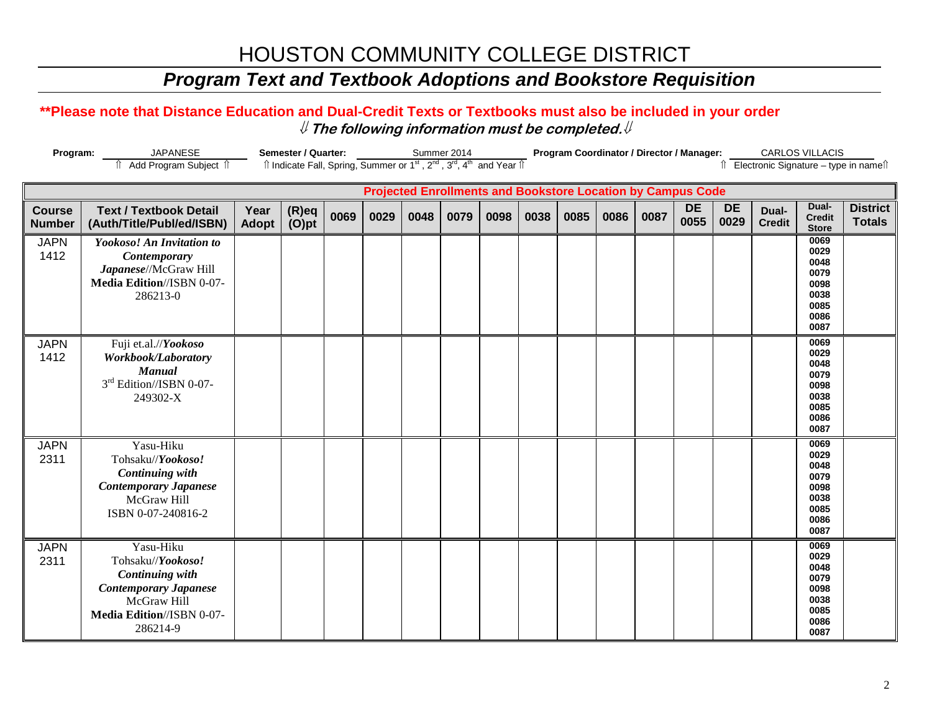# HOUSTON COMMUNITY COLLEGE DISTRICT

# *Program Text and Textbook Adoptions and Bookstore Requisition*

### **\*\*Please note that Distance Education and Dual-Credit Texts or Textbooks must also be included in your order** ⇓ **The following information must be completed.**⇓

| Program:                                                           | <b>JAPANESE</b>                                                                                                                                  | Semester / Quarter:  |                                                                                                                       |      |      |      | Summer 2014 |      |      |      | Program Coordinator / Director / Manager: |      | <b>CARLOS VILLACIS</b> |                   |                        |                                                                      |                                       |
|--------------------------------------------------------------------|--------------------------------------------------------------------------------------------------------------------------------------------------|----------------------|-----------------------------------------------------------------------------------------------------------------------|------|------|------|-------------|------|------|------|-------------------------------------------|------|------------------------|-------------------|------------------------|----------------------------------------------------------------------|---------------------------------------|
|                                                                    | f Add Program Subject f                                                                                                                          |                      | Îl Indicate Fall, Spring, Summer or 1 <sup>st</sup> , 2 <sup>nd</sup> , 3 <sup>rd</sup> , 4 <sup>th</sup> and Year Îl |      |      |      |             |      |      |      |                                           |      |                        |                   |                        |                                                                      | ↑ Electronic Signature - type in name |
| <b>Projected Enrollments and Bookstore Location by Campus Code</b> |                                                                                                                                                  |                      |                                                                                                                       |      |      |      |             |      |      |      |                                           |      |                        |                   |                        |                                                                      |                                       |
| <b>Course</b><br><b>Number</b>                                     | <b>Text / Textbook Detail</b><br>(Auth/Title/Publ/ed/ISBN)                                                                                       | Year<br><b>Adopt</b> | (R)eq<br>(O)pt                                                                                                        | 0069 | 0029 | 0048 | 0079        | 0098 | 0038 | 0085 | 0086                                      | 0087 | <b>DE</b><br>0055      | <b>DE</b><br>0029 | Dual-<br><b>Credit</b> | Dual-<br><b>Credit</b><br><b>Store</b>                               | <b>District</b><br><b>Totals</b>      |
| <b>JAPN</b><br>1412                                                | Yookoso! An Invitation to<br><b>Contemporary</b><br>Japanese//McGraw Hill<br>Media Edition//ISBN 0-07-<br>286213-0                               |                      |                                                                                                                       |      |      |      |             |      |      |      |                                           |      |                        |                   |                        | 0069<br>0029<br>0048<br>0079<br>0098<br>0038<br>0085<br>0086<br>0087 |                                       |
| <b>JAPN</b><br>1412                                                | Fuji et.al.//Yookoso<br>Workbook/Laboratory<br><b>Manual</b><br>3rd Edition//ISBN 0-07-<br>249302-X                                              |                      |                                                                                                                       |      |      |      |             |      |      |      |                                           |      |                        |                   |                        | 0069<br>0029<br>0048<br>0079<br>0098<br>0038<br>0085<br>0086<br>0087 |                                       |
| <b>JAPN</b><br>2311                                                | Yasu-Hiku<br>Tohsaku//Yookoso!<br><b>Continuing with</b><br><b>Contemporary Japanese</b><br>McGraw Hill<br>ISBN 0-07-240816-2                    |                      |                                                                                                                       |      |      |      |             |      |      |      |                                           |      |                        |                   |                        | 0069<br>0029<br>0048<br>0079<br>0098<br>0038<br>0085<br>0086<br>0087 |                                       |
| <b>JAPN</b><br>2311                                                | Yasu-Hiku<br>Tohsaku//Yookoso!<br><b>Continuing with</b><br><b>Contemporary Japanese</b><br>McGraw Hill<br>Media Edition//ISBN 0-07-<br>286214-9 |                      |                                                                                                                       |      |      |      |             |      |      |      |                                           |      |                        |                   |                        | 0069<br>0029<br>0048<br>0079<br>0098<br>0038<br>0085<br>0086<br>0087 |                                       |